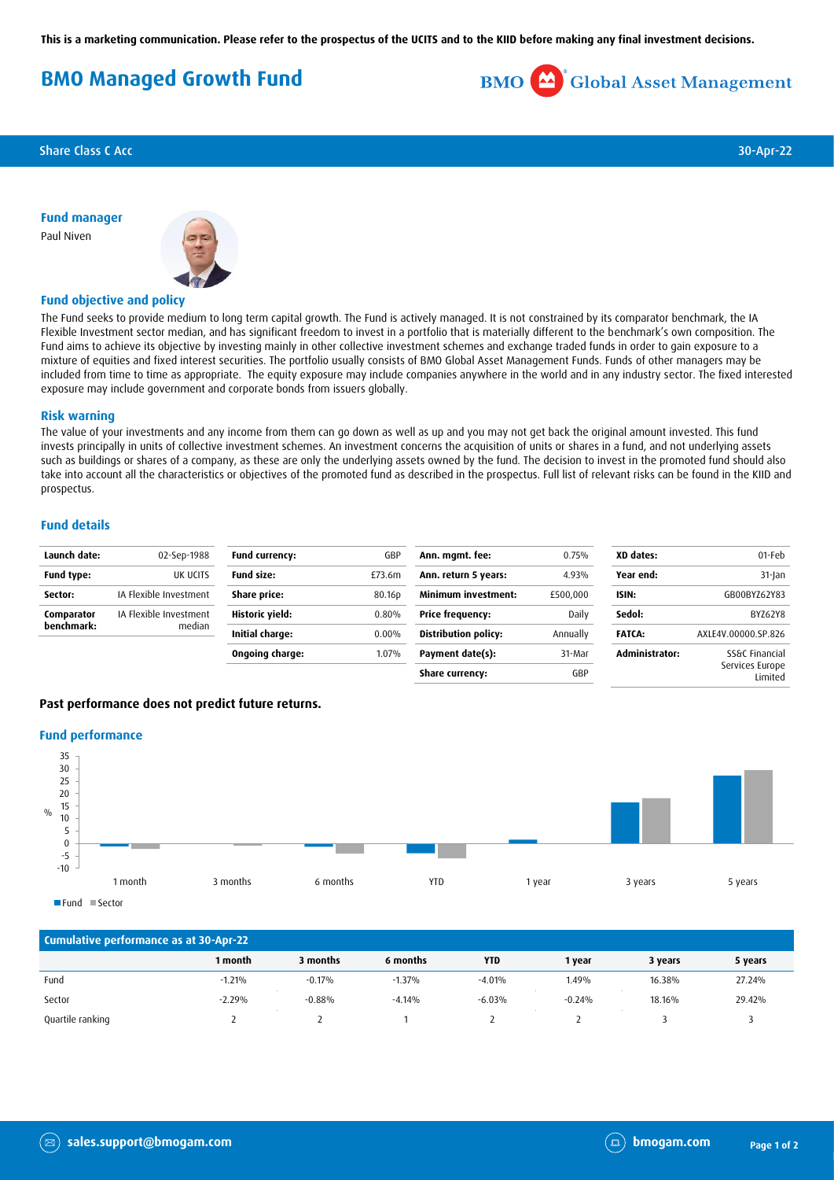**This is a marketing communication. Please refer to the prospectus of the UCITS and to the KIID before making any final investment decisions.**

# **BMO Managed Growth Fund**

**BMO** Global Asset Management

Share Class C Acc 30-Apr-22

**Fund manager** Paul Niven



## **Fund objective and policy**

The Fund seeks to provide medium to long term capital growth. The Fund is actively managed. It is not constrained by its comparator benchmark, the IA Flexible Investment sector median, and has significant freedom to invest in a portfolio that is materially different to the benchmark's own composition. The Fund aims to achieve its objective by investing mainly in other collective investment schemes and exchange traded funds in order to gain exposure to a mixture of equities and fixed interest securities. The portfolio usually consists of BMO Global Asset Management Funds. Funds of other managers may be included from time to time as appropriate. The equity exposure may include companies anywhere in the world and in any industry sector. The fixed interested exposure may include government and corporate bonds from issuers globally.

#### **Risk warning**

The value of your investments and any income from them can go down as well as up and you may not get back the original amount invested. This fund invests principally in units of collective investment schemes. An investment concerns the acquisition of units or shares in a fund, and not underlying assets such as buildings or shares of a company, as these are only the underlying assets owned by the fund. The decision to invest in the promoted fund should also take into account all the characteristics or objectives of the promoted fund as described in the prospectus. Full list of relevant risks can be found in the KIID and prospectus.

## **Fund details**

| Launch date:             | 02-Sep-1988            | <b>Fund currency:</b> | GBP    | Ann. mgmt. fee:             | 0.75%    | XD dates:      | 01-Feb                     |
|--------------------------|------------------------|-----------------------|--------|-----------------------------|----------|----------------|----------------------------|
| <b>Fund type:</b>        | UK UCITS               | <b>Fund size:</b>     | £73.6m | Ann. return 5 years:        | 4.93%    | Year end:      | $31$ -Jan                  |
| Sector:                  | IA Flexible Investment | Share price:          | 80.16p | <b>Minimum investment:</b>  | £500,000 | ISIN:          | GB00BYZ62Y83               |
| Comparator<br>benchmark: | IA Flexible Investment | Historic yield:       | 0.80%  | <b>Price frequency:</b>     | Daily    | Sedol:         | BYZ62Y8                    |
|                          | median                 | Initial charge:       | 0.00%  | <b>Distribution policy:</b> | Annually | <b>FATCA:</b>  | AXLE4V.00000.SP.826        |
|                          |                        | Ongoing charge:       | 1.07%  | Payment date(s):            | 31-Mar   | Administrator: | SS&C Financial             |
|                          |                        |                       |        | Share currency:             | GBP      |                | Services Europe<br>Limited |

### **Past performance does not predict future returns.**

#### **Fund performance**



| Cumulative performance as at 30-Apr-22 |          |          |          |            |          |         |         |  |  |  |
|----------------------------------------|----------|----------|----------|------------|----------|---------|---------|--|--|--|
|                                        | 1 month  | 3 months | 6 months | <b>YTD</b> | 1 year   | 3 years | 5 years |  |  |  |
| Fund                                   | $-1.21%$ | $-0.17%$ | $-1.37%$ | $-4.01%$   | 1.49%    | 16.38%  | 27.24%  |  |  |  |
| Sector                                 | $-2.29%$ | $-0.88%$ | $-4.14%$ | $-6.03%$   | $-0.24%$ | 18.16%  | 29.42%  |  |  |  |
| Quartile ranking                       |          |          |          |            |          |         |         |  |  |  |